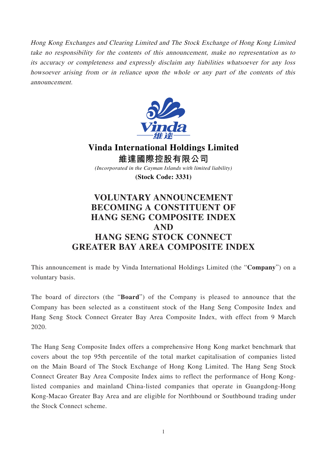Hong Kong Exchanges and Clearing Limited and The Stock Exchange of Hong Kong Limited take no responsibility for the contents of this announcement, make no representation as to its accuracy or completeness and expressly disclaim any liabilities whatsoever for any loss howsoever arising from or in reliance upon the whole or any part of the contents of this announcement.



**Vinda International Holdings Limited 維達國際控股有限公司** *(Incorporated in the Cayman Islands with limited liability)*

**(Stock Code: 3331)**

## **VOLUNTARY ANNOUNCEMENT BECOMING A CONSTITUENT OF HANG SENG COMPOSITE INDEX AND HANG SENG STOCK CONNECT GREATER BAY AREA COMPOSITE INDEX**

This announcement is made by Vinda International Holdings Limited (the "**Company**") on a voluntary basis.

The board of directors (the "**Board**") of the Company is pleased to announce that the Company has been selected as a constituent stock of the Hang Seng Composite Index and Hang Seng Stock Connect Greater Bay Area Composite Index, with effect from 9 March 2020.

The Hang Seng Composite Index offers a comprehensive Hong Kong market benchmark that covers about the top 95th percentile of the total market capitalisation of companies listed on the Main Board of The Stock Exchange of Hong Kong Limited. The Hang Seng Stock Connect Greater Bay Area Composite Index aims to reflect the performance of Hong Konglisted companies and mainland China-listed companies that operate in Guangdong-Hong Kong-Macao Greater Bay Area and are eligible for Northbound or Southbound trading under the Stock Connect scheme.